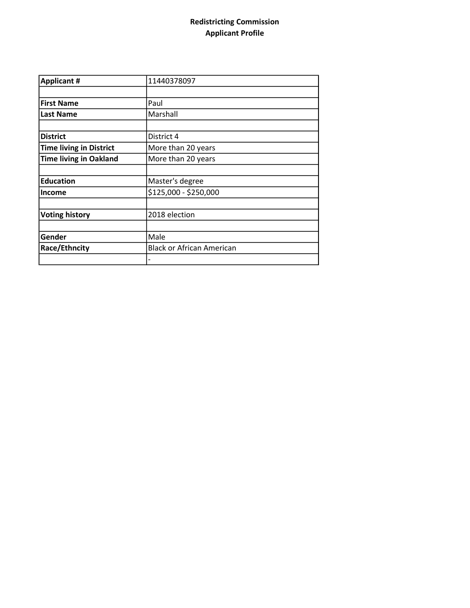## Redistricting Commission Applicant Profile

| <b>Applicant #</b>             | 11440378097                      |  |  |
|--------------------------------|----------------------------------|--|--|
|                                |                                  |  |  |
| <b>First Name</b>              | Paul                             |  |  |
| <b>Last Name</b>               | Marshall                         |  |  |
|                                |                                  |  |  |
| <b>District</b>                | District 4                       |  |  |
| <b>Time living in District</b> | More than 20 years               |  |  |
| <b>Time living in Oakland</b>  | More than 20 years               |  |  |
|                                |                                  |  |  |
| <b>Education</b>               | Master's degree                  |  |  |
| <b>Income</b>                  | \$125,000 - \$250,000            |  |  |
|                                |                                  |  |  |
| <b>Voting history</b>          | 2018 election                    |  |  |
|                                |                                  |  |  |
| Gender                         | Male                             |  |  |
| Race/Ethncity                  | <b>Black or African American</b> |  |  |
|                                | -                                |  |  |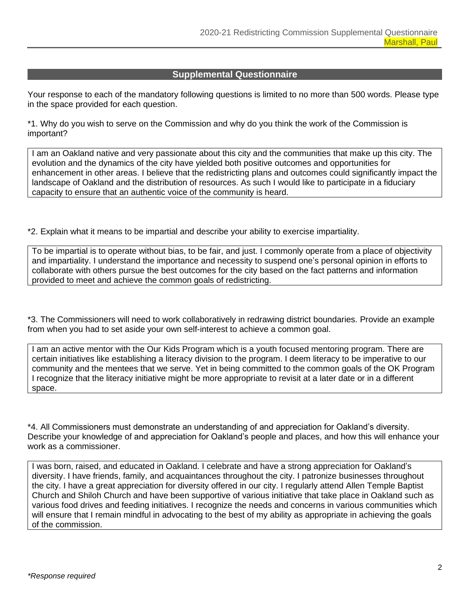## **Supplemental Questionnaire**

Your response to each of the mandatory following questions is limited to no more than 500 words. Please type in the space provided for each question.

\*1. Why do you wish to serve on the Commission and why do you think the work of the Commission is important?

I am an Oakland native and very passionate about this city and the communities that make up this city. The evolution and the dynamics of the city have yielded both positive outcomes and opportunities for enhancement in other areas. I believe that the redistricting plans and outcomes could significantly impact the landscape of Oakland and the distribution of resources. As such I would like to participate in a fiduciary capacity to ensure that an authentic voice of the community is heard.

\*2. Explain what it means to be impartial and describe your ability to exercise impartiality.

To be impartial is to operate without bias, to be fair, and just. I commonly operate from a place of objectivity and impartiality. I understand the importance and necessity to suspend one's personal opinion in efforts to collaborate with others pursue the best outcomes for the city based on the fact patterns and information provided to meet and achieve the common goals of redistricting.

\*3. The Commissioners will need to work collaboratively in redrawing district boundaries. Provide an example from when you had to set aside your own self-interest to achieve a common goal.

I am an active mentor with the Our Kids Program which is a youth focused mentoring program. There are certain initiatives like establishing a literacy division to the program. I deem literacy to be imperative to our community and the mentees that we serve. Yet in being committed to the common goals of the OK Program I recognize that the literacy initiative might be more appropriate to revisit at a later date or in a different space.

\*4. All Commissioners must demonstrate an understanding of and appreciation for Oakland's diversity. Describe your knowledge of and appreciation for Oakland's people and places, and how this will enhance your work as a commissioner.

I was born, raised, and educated in Oakland. I celebrate and have a strong appreciation for Oakland's diversity. I have friends, family, and acquaintances throughout the city. I patronize businesses throughout the city. I have a great appreciation for diversity offered in our city. I regularly attend Allen Temple Baptist Church and Shiloh Church and have been supportive of various initiative that take place in Oakland such as various food drives and feeding initiatives. I recognize the needs and concerns in various communities which will ensure that I remain mindful in advocating to the best of my ability as appropriate in achieving the goals of the commission.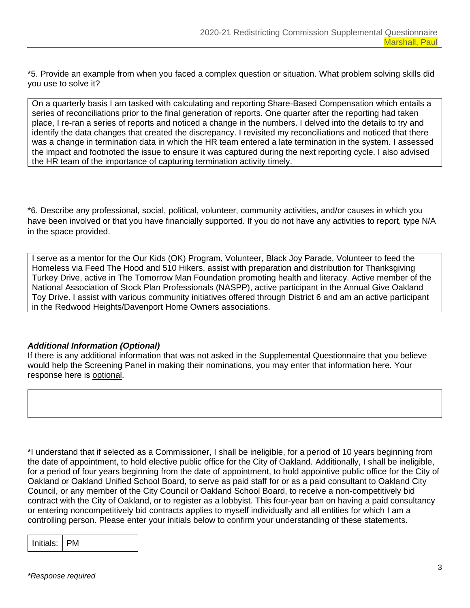\*5. Provide an example from when you faced a complex question or situation. What problem solving skills did you use to solve it?

On a quarterly basis I am tasked with calculating and reporting Share-Based Compensation which entails a series of reconciliations prior to the final generation of reports. One quarter after the reporting had taken place, I re-ran a series of reports and noticed a change in the numbers. I delved into the details to try and identify the data changes that created the discrepancy. I revisited my reconciliations and noticed that there was a change in termination data in which the HR team entered a late termination in the system. I assessed the impact and footnoted the issue to ensure it was captured during the next reporting cycle. I also advised the HR team of the importance of capturing termination activity timely.

\*6. Describe any professional, social, political, volunteer, community activities, and/or causes in which you have been involved or that you have financially supported. If you do not have any activities to report, type N/A in the space provided.

I serve as a mentor for the Our Kids (OK) Program, Volunteer, Black Joy Parade, Volunteer to feed the Homeless via Feed The Hood and 510 Hikers, assist with preparation and distribution for Thanksgiving Turkey Drive, active in The Tomorrow Man Foundation promoting health and literacy. Active member of the National Association of Stock Plan Professionals (NASPP), active participant in the Annual Give Oakland Toy Drive. I assist with various community initiatives offered through District 6 and am an active participant in the Redwood Heights/Davenport Home Owners associations.

## *Additional Information (Optional)*

If there is any additional information that was not asked in the Supplemental Questionnaire that you believe would help the Screening Panel in making their nominations, you may enter that information here. Your response here is optional.

\*I understand that if selected as a Commissioner, I shall be ineligible, for a period of 10 years beginning from the date of appointment, to hold elective public office for the City of Oakland. Additionally, I shall be ineligible, for a period of four years beginning from the date of appointment, to hold appointive public office for the City of Oakland or Oakland Unified School Board, to serve as paid staff for or as a paid consultant to Oakland City Council, or any member of the City Council or Oakland School Board, to receive a non-competitively bid contract with the City of Oakland, or to register as a lobbyist. This four-year ban on having a paid consultancy or entering noncompetitively bid contracts applies to myself individually and all entities for which I am a controlling person. Please enter your initials below to confirm your understanding of these statements.

| Initials: |  |
|-----------|--|
|-----------|--|